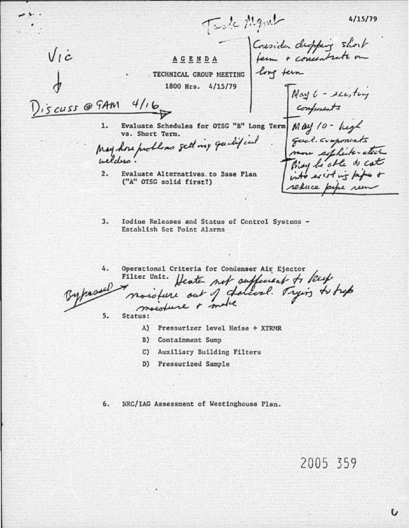$4/15/79$ 

Twic Mant Consider displain short<br>ferm + concentrate on  $V_l \dot{c}$ ACENDA . TECHNICAL GROUP MEETING 1800 Hrs. 4/15/79 May 6 - existing Discuss @ GAM  $4/16$ Evaluate Schedules for OTSG "B" Long Term May 10 - hegh 1. vs. Short Term. qual components<br>more septime atect May hore problems sett my qualified  $\overline{2}$ . Evaluate Alternatives, to Base Plan ("A" OTSG solid first?) refuce

 $3.$ Iodine Releases and Status of Control Systems -Establish Set Point Alarms

Operational Criteria for Condenser Air Ejector 4. Filter Unit. Heater not sufficient to keep  $5.$ 

- Status:
	- A) Pressurizer level Heise + XTRMR
	- B) Containment Sump
	- C) Auxiliary Building Filters
	- D) Pressurized Sample

NRC/IAG Assessment of Westinghouse Plan. 6.

## 2005 359